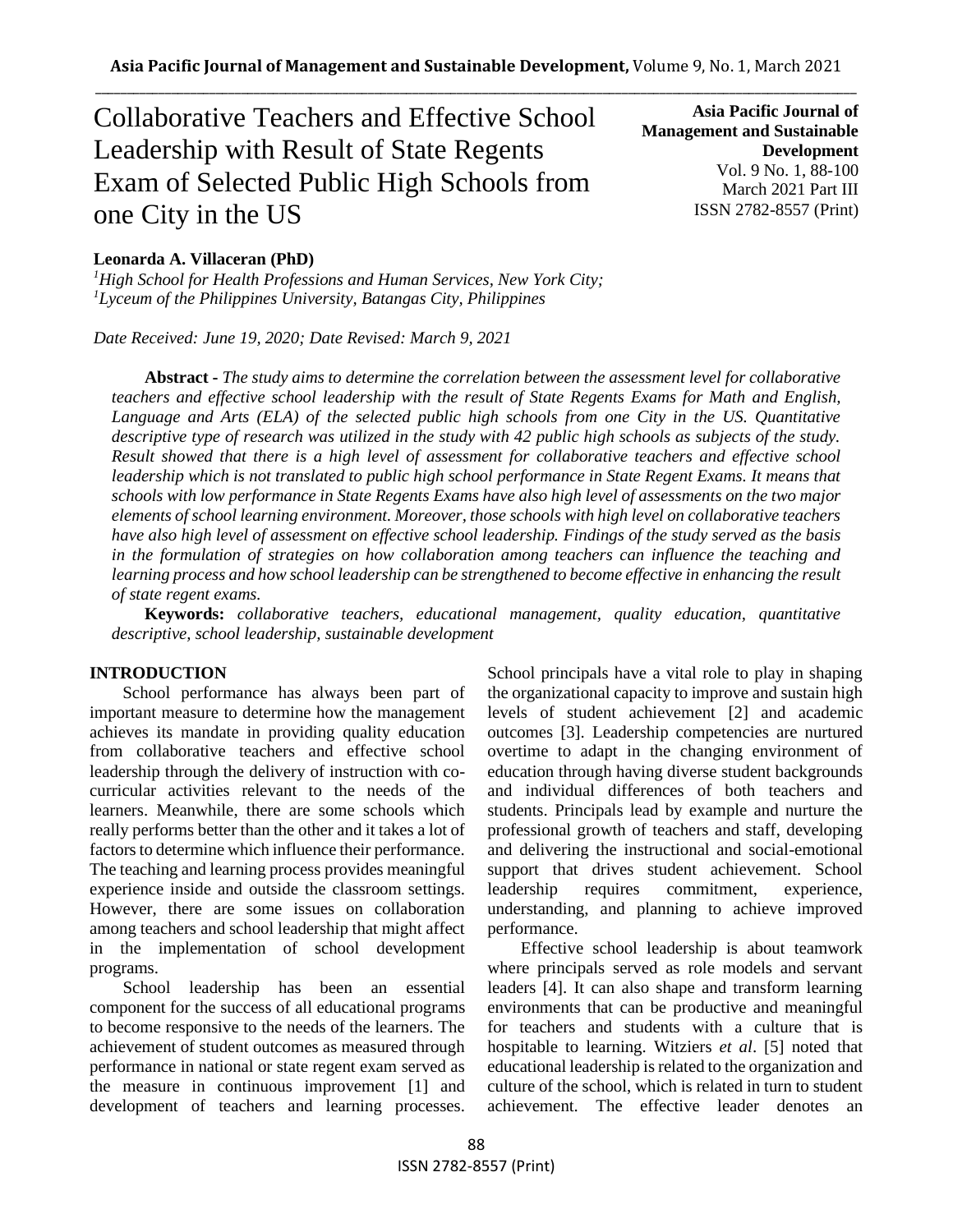# Collaborative Teachers and Effective School Leadership with Result of State Regents Exam of Selected Public High Schools from one City in the US

**Asia Pacific Journal of Management and Sustainable Development**  Vol. 9 No. 1, 88-100 March 2021 Part III ISSN 2782-8557 (Print)

## **Leonarda A. Villaceran (PhD)**

*<sup>1</sup>High School for Health Professions and Human Services, New York City; <sup>1</sup>Lyceum of the Philippines University, Batangas City, Philippines*

*Date Received: June 19, 2020; Date Revised: March 9, 2021*

**Abstract -** *The study aims to determine the correlation between the assessment level for collaborative teachers and effective school leadership with the result of State Regents Exams for Math and English, Language and Arts (ELA) of the selected public high schools from one City in the US. Quantitative descriptive type of research was utilized in the study with 42 public high schools as subjects of the study. Result showed that there is a high level of assessment for collaborative teachers and effective school leadership which is not translated to public high school performance in State Regent Exams. It means that schools with low performance in State Regents Exams have also high level of assessments on the two major elements of school learning environment. Moreover, those schools with high level on collaborative teachers have also high level of assessment on effective school leadership. Findings of the study served as the basis in the formulation of strategies on how collaboration among teachers can influence the teaching and learning process and how school leadership can be strengthened to become effective in enhancing the result of state regent exams.* 

**Keywords:** *collaborative teachers, educational management, quality education, quantitative descriptive, school leadership, sustainable development*

#### **INTRODUCTION**

School performance has always been part of important measure to determine how the management achieves its mandate in providing quality education from collaborative teachers and effective school leadership through the delivery of instruction with cocurricular activities relevant to the needs of the learners. Meanwhile, there are some schools which really performs better than the other and it takes a lot of factors to determine which influence their performance. The teaching and learning process provides meaningful experience inside and outside the classroom settings. However, there are some issues on collaboration among teachers and school leadership that might affect in the implementation of school development programs.

School leadership has been an essential component for the success of all educational programs to become responsive to the needs of the learners. The achievement of student outcomes as measured through performance in national or state regent exam served as the measure in continuous improvement [1] and development of teachers and learning processes. School principals have a vital role to play in shaping the organizational capacity to improve and sustain high levels of student achievement [2] and academic outcomes [3]. Leadership competencies are nurtured overtime to adapt in the changing environment of education through having diverse student backgrounds and individual differences of both teachers and students. Principals lead by example and nurture the professional growth of teachers and staff, developing and delivering the instructional and social-emotional support that drives student achievement. School leadership requires commitment, experience, understanding, and planning to achieve improved performance.

Effective school leadership is about teamwork where principals served as role models and servant leaders [4]. It can also shape and transform learning environments that can be productive and meaningful for teachers and students with a culture that is hospitable to learning. Witziers *et al*. [5] noted that educational leadership is related to the organization and culture of the school, which is related in turn to student achievement. The effective leader denotes an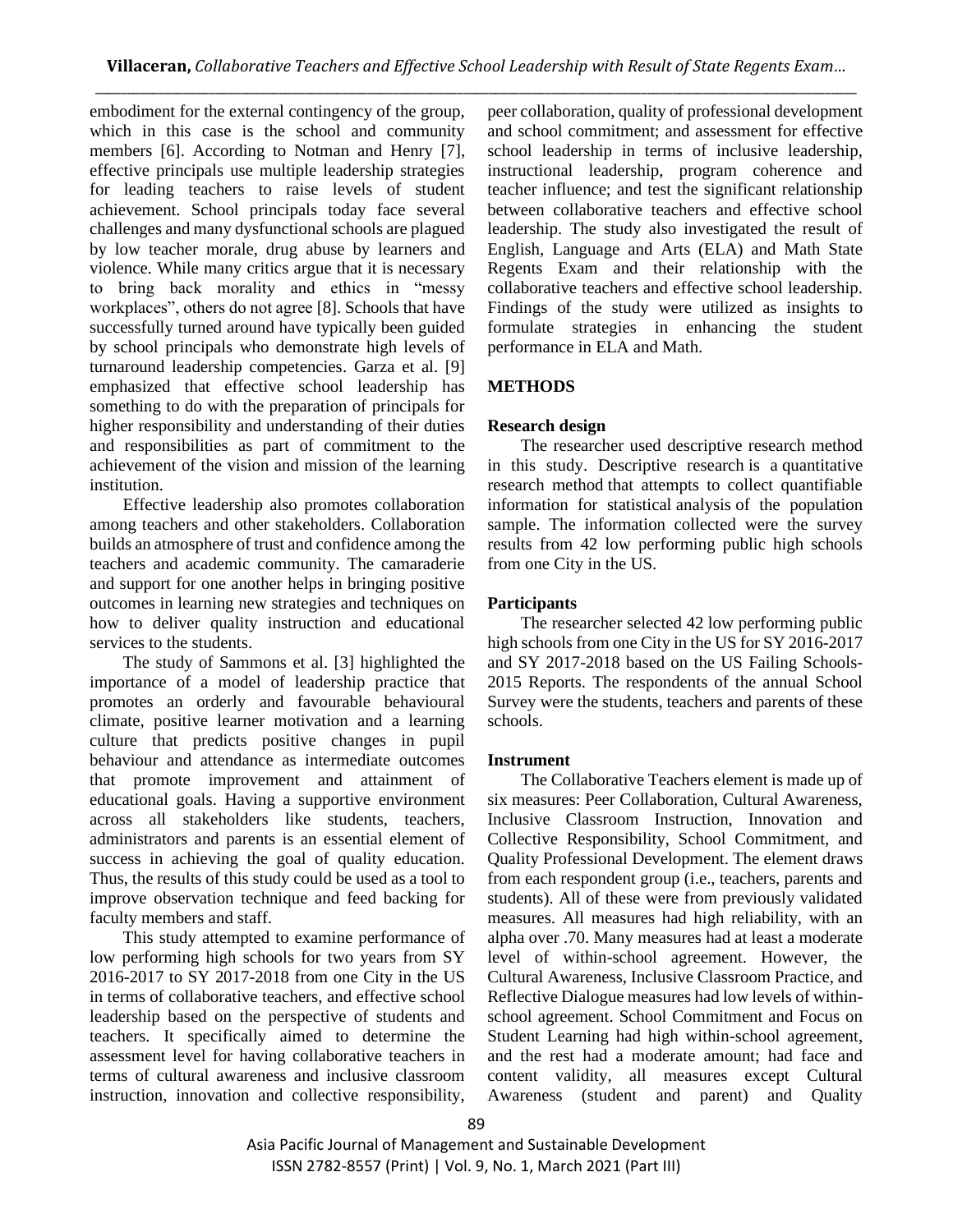embodiment for the external contingency of the group, which in this case is the school and community members [6]. According to Notman and Henry [7], effective principals use multiple leadership strategies for leading teachers to raise levels of student achievement. School principals today face several challenges and many dysfunctional schools are plagued by low teacher morale, drug abuse by learners and violence. While many critics argue that it is necessary to bring back morality and ethics in "messy workplaces", others do not agree [8]. Schools that have successfully turned around have typically been guided by school principals who demonstrate high levels of turnaround leadership competencies. Garza et al. [9] emphasized that effective school leadership has something to do with the preparation of principals for higher responsibility and understanding of their duties and responsibilities as part of commitment to the achievement of the vision and mission of the learning institution.

Effective leadership also promotes collaboration among teachers and other stakeholders. Collaboration builds an atmosphere of trust and confidence among the teachers and academic community. The camaraderie and support for one another helps in bringing positive outcomes in learning new strategies and techniques on how to deliver quality instruction and educational services to the students.

The study of Sammons et al. [3] highlighted the importance of a model of leadership practice that promotes an orderly and favourable behavioural climate, positive learner motivation and a learning culture that predicts positive changes in pupil behaviour and attendance as intermediate outcomes that promote improvement and attainment of educational goals. Having a supportive environment across all stakeholders like students, teachers, administrators and parents is an essential element of success in achieving the goal of quality education. Thus, the results of this study could be used as a tool to improve observation technique and feed backing for faculty members and staff.

This study attempted to examine performance of low performing high schools for two years from SY 2016-2017 to SY 2017-2018 from one City in the US in terms of collaborative teachers, and effective school leadership based on the perspective of students and teachers. It specifically aimed to determine the assessment level for having collaborative teachers in terms of cultural awareness and inclusive classroom instruction, innovation and collective responsibility,

peer collaboration, quality of professional development and school commitment; and assessment for effective school leadership in terms of inclusive leadership, instructional leadership, program coherence and teacher influence; and test the significant relationship between collaborative teachers and effective school leadership. The study also investigated the result of English, Language and Arts (ELA) and Math State Regents Exam and their relationship with the collaborative teachers and effective school leadership. Findings of the study were utilized as insights to formulate strategies in enhancing the student performance in ELA and Math.

# **METHODS**

## **Research design**

The researcher used descriptive research method in this study. Descriptive research is a quantitative research method that attempts to collect quantifiable information for statistical analysis of the population sample. The information collected were the survey results from 42 low performing public high schools from one City in the US.

## **Participants**

The researcher selected 42 low performing public high schools from one City in the US for SY 2016-2017 and SY 2017-2018 based on the US Failing Schools-2015 Reports. The respondents of the annual School Survey were the students, teachers and parents of these schools.

## **Instrument**

The Collaborative Teachers element is made up of six measures: Peer Collaboration, Cultural Awareness, Inclusive Classroom Instruction, Innovation and Collective Responsibility, School Commitment, and Quality Professional Development. The element draws from each respondent group (i.e., teachers, parents and students). All of these were from previously validated measures. All measures had high reliability, with an alpha over .70. Many measures had at least a moderate level of within-school agreement. However, the Cultural Awareness, Inclusive Classroom Practice, and Reflective Dialogue measures had low levels of withinschool agreement. School Commitment and Focus on Student Learning had high within-school agreement, and the rest had a moderate amount; had face and content validity, all measures except Cultural Awareness (student and parent) and Quality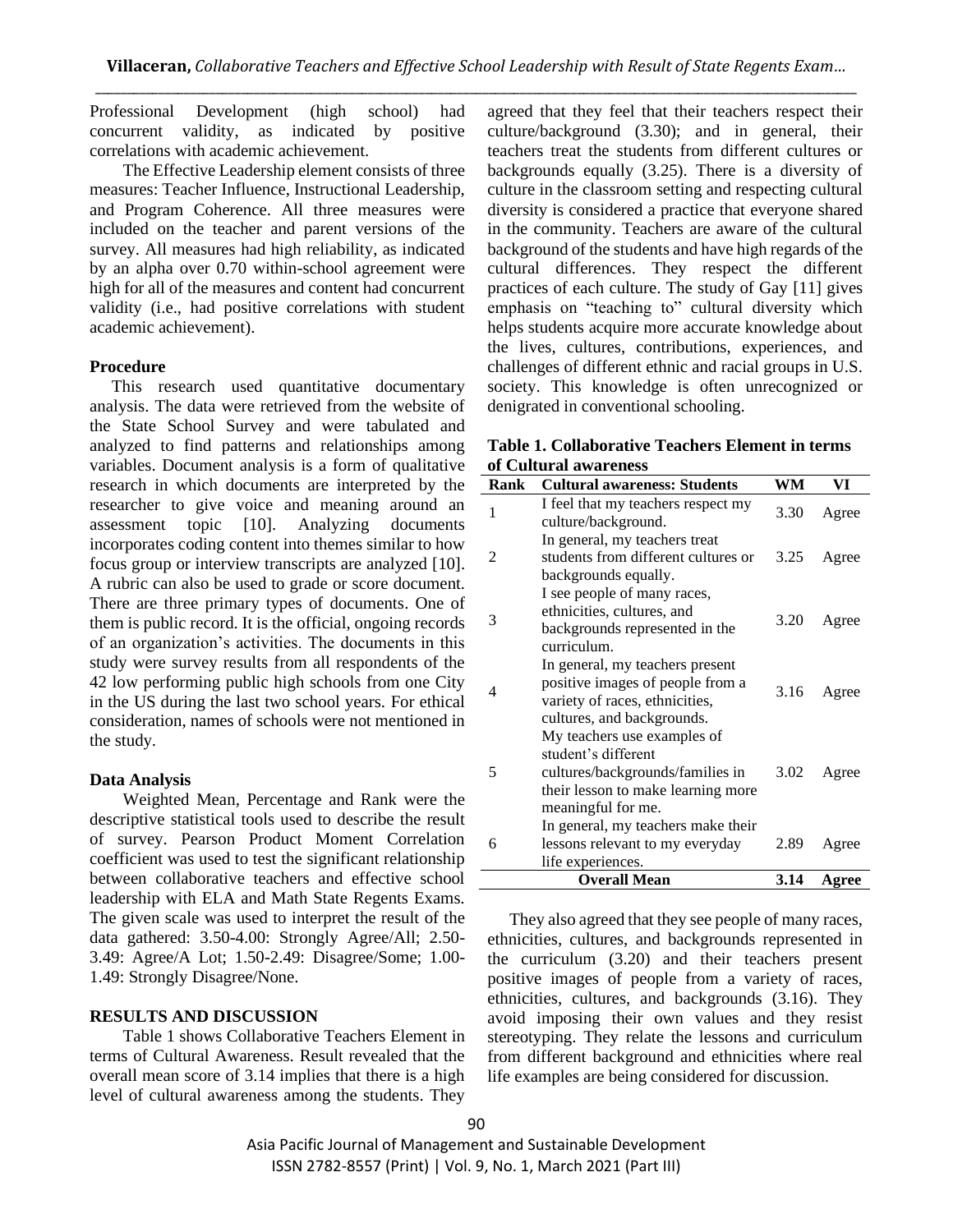Professional Development (high school) had concurrent validity, as indicated by positive correlations with academic achievement.

The Effective Leadership element consists of three measures: Teacher Influence, Instructional Leadership, and Program Coherence. All three measures were included on the teacher and parent versions of the survey. All measures had high reliability, as indicated by an alpha over 0.70 within-school agreement were high for all of the measures and content had concurrent validity (i.e., had positive correlations with student academic achievement).

#### **Procedure**

This research used quantitative documentary analysis. The data were retrieved from the website of the State School Survey and were tabulated and analyzed to find patterns and relationships among variables. Document analysis is a form of qualitative research in which documents are interpreted by the researcher to give voice and meaning around an assessment topic [10]. Analyzing documents incorporates coding content into themes similar to how focus group or interview transcripts are analyzed [10]. A rubric can also be used to grade or score document. There are three primary types of documents. One of them is public record. It is the official, ongoing records of an organization's activities. The documents in this study were survey results from all respondents of the 42 low performing public high schools from one City in the US during the last two school years. For ethical consideration, names of schools were not mentioned in the study.

#### **Data Analysis**

Weighted Mean, Percentage and Rank were the descriptive statistical tools used to describe the result of survey. Pearson Product Moment Correlation coefficient was used to test the significant relationship between collaborative teachers and effective school leadership with ELA and Math State Regents Exams. The given scale was used to interpret the result of the data gathered: 3.50-4.00: Strongly Agree/All; 2.50- 3.49: Agree/A Lot; 1.50-2.49: Disagree/Some; 1.00- 1.49: Strongly Disagree/None.

#### **RESULTS AND DISCUSSION**

Table 1 shows Collaborative Teachers Element in terms of Cultural Awareness. Result revealed that the overall mean score of 3.14 implies that there is a high level of cultural awareness among the students. They

agreed that they feel that their teachers respect their culture/background (3.30); and in general, their teachers treat the students from different cultures or backgrounds equally (3.25). There is a diversity of culture in the classroom setting and respecting cultural diversity is considered a practice that everyone shared in the community. Teachers are aware of the cultural background of the students and have high regards of the cultural differences. They respect the different practices of each culture. The study of Gay [11] gives emphasis on "teaching to" cultural diversity which helps students acquire more accurate knowledge about the lives, cultures, contributions, experiences, and challenges of different ethnic and racial groups in U.S. society. This knowledge is often unrecognized or denigrated in conventional schooling.

## **Table 1. Collaborative Teachers Element in terms of Cultural awareness**

| Rank | <b>Cultural awareness: Students</b>                                                                                                                | WМ   | VI    |
|------|----------------------------------------------------------------------------------------------------------------------------------------------------|------|-------|
| 1    | I feel that my teachers respect my<br>culture/background.                                                                                          | 3.30 | Agree |
| 2    | In general, my teachers treat<br>students from different cultures or<br>backgrounds equally.                                                       | 3.25 | Agree |
| 3    | I see people of many races,<br>ethnicities, cultures, and<br>backgrounds represented in the<br>curriculum.                                         | 3.20 | Agree |
| 4    | In general, my teachers present<br>positive images of people from a<br>variety of races, ethnicities,<br>cultures, and backgrounds.                | 3.16 | Agree |
| 5    | My teachers use examples of<br>student's different<br>cultures/backgrounds/families in<br>their lesson to make learning more<br>meaningful for me. | 3.02 | Agree |
| 6    | In general, my teachers make their<br>lessons relevant to my everyday<br>life experiences.                                                         | 2.89 | Agree |
|      | <b>Overall Mean</b>                                                                                                                                | 3.14 | Agree |

They also agreed that they see people of many races, ethnicities, cultures, and backgrounds represented in the curriculum (3.20) and their teachers present positive images of people from a variety of races, ethnicities, cultures, and backgrounds (3.16). They avoid imposing their own values and they resist stereotyping. They relate the lessons and curriculum from different background and ethnicities where real life examples are being considered for discussion.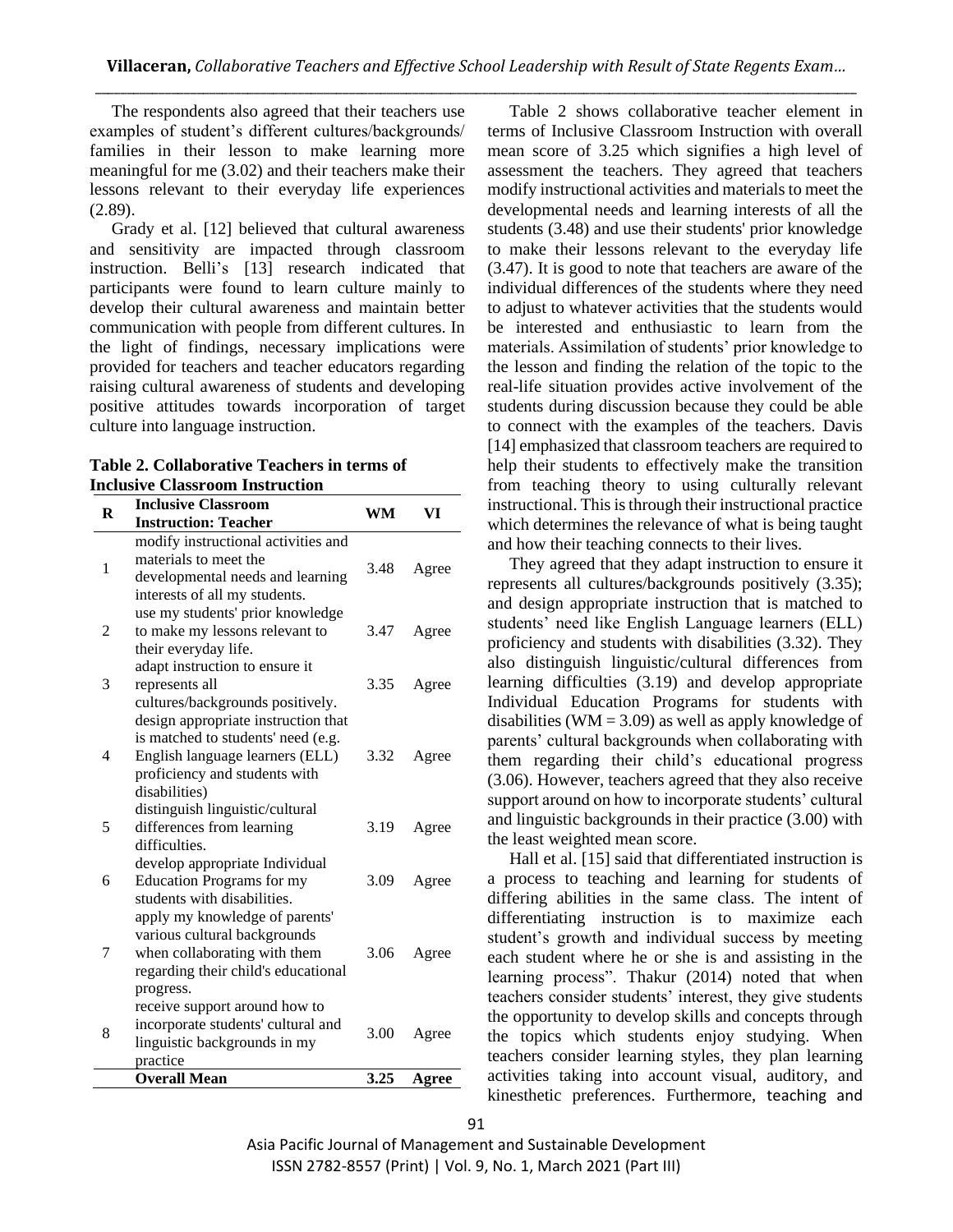The respondents also agreed that their teachers use examples of student's different cultures/backgrounds/ families in their lesson to make learning more meaningful for me (3.02) and their teachers make their lessons relevant to their everyday life experiences (2.89).

Grady et al. [12] believed that cultural awareness and sensitivity are impacted through classroom instruction. Belli's [13] research indicated that participants were found to learn culture mainly to develop their cultural awareness and maintain better communication with people from different cultures. In the light of findings, necessary implications were provided for teachers and teacher educators regarding raising cultural awareness of students and developing positive attitudes towards incorporation of target culture into language instruction.

| Table 2. Collaborative Teachers in terms of |
|---------------------------------------------|
| <b>Inclusive Classroom Instruction</b>      |

| $\bf R$        | <b>Inclusive Classroom</b>          | WM   | VI    |
|----------------|-------------------------------------|------|-------|
|                | <b>Instruction: Teacher</b>         |      |       |
|                | modify instructional activities and |      |       |
| 1              | materials to meet the               | 3.48 | Agree |
|                | developmental needs and learning    |      |       |
|                | interests of all my students.       |      |       |
|                | use my students' prior knowledge    |      |       |
| $\overline{c}$ | to make my lessons relevant to      | 3.47 | Agree |
|                | their everyday life.                |      |       |
|                | adapt instruction to ensure it      |      |       |
| 3              | represents all                      | 3.35 | Agree |
|                | cultures/backgrounds positively.    |      |       |
|                | design appropriate instruction that |      |       |
|                | is matched to students' need (e.g.  |      |       |
| 4              | English language learners (ELL)     | 3.32 | Agree |
|                | proficiency and students with       |      |       |
|                | disabilities)                       |      |       |
|                | distinguish linguistic/cultural     |      |       |
| 5              | differences from learning           | 3.19 | Agree |
|                | difficulties.                       |      |       |
|                | develop appropriate Individual      |      |       |
| 6              | <b>Education Programs for my</b>    | 3.09 | Agree |
|                | students with disabilities.         |      |       |
|                | apply my knowledge of parents'      |      |       |
|                | various cultural backgrounds        |      |       |
| 7              | when collaborating with them        | 3.06 | Agree |
|                | regarding their child's educational |      |       |
|                | progress.                           |      |       |
|                | receive support around how to       |      |       |
| 8              | incorporate students' cultural and  | 3.00 | Agree |
|                | linguistic backgrounds in my        |      |       |
|                | practice                            |      |       |
|                | <b>Overall Mean</b>                 | 3.25 | Agree |

Table 2 shows collaborative teacher element in terms of Inclusive Classroom Instruction with overall mean score of 3.25 which signifies a high level of assessment the teachers. They agreed that teachers modify instructional activities and materials to meet the developmental needs and learning interests of all the students (3.48) and use their students' prior knowledge to make their lessons relevant to the everyday life (3.47). It is good to note that teachers are aware of the individual differences of the students where they need to adjust to whatever activities that the students would be interested and enthusiastic to learn from the materials. Assimilation of students' prior knowledge to the lesson and finding the relation of the topic to the real-life situation provides active involvement of the students during discussion because they could be able to connect with the examples of the teachers. Davis [14] emphasized that classroom teachers are required to help their students to effectively make the transition from teaching theory to using culturally relevant instructional. This is through their instructional practice which determines the relevance of what is being taught and how their teaching connects to their lives.

They agreed that they adapt instruction to ensure it represents all cultures/backgrounds positively (3.35); and design appropriate instruction that is matched to students' need like English Language learners (ELL) proficiency and students with disabilities (3.32). They also distinguish linguistic/cultural differences from learning difficulties (3.19) and develop appropriate Individual Education Programs for students with disabilities (WM =  $3.09$ ) as well as apply knowledge of parents' cultural backgrounds when collaborating with them regarding their child's educational progress (3.06). However, teachers agreed that they also receive support around on how to incorporate students' cultural and linguistic backgrounds in their practice (3.00) with the least weighted mean score.

Hall et al. [15] said that differentiated instruction is a process to teaching and learning for students of differing abilities in the same class. The intent of differentiating instruction is to maximize each student's growth and individual success by meeting each student where he or she is and assisting in the learning process". Thakur (2014) noted that when teachers consider students' interest, they give students the opportunity to develop skills and concepts through the topics which students enjoy studying. When teachers consider learning styles, they plan learning activities taking into account visual, auditory, and kinesthetic preferences. Furthermore, teaching and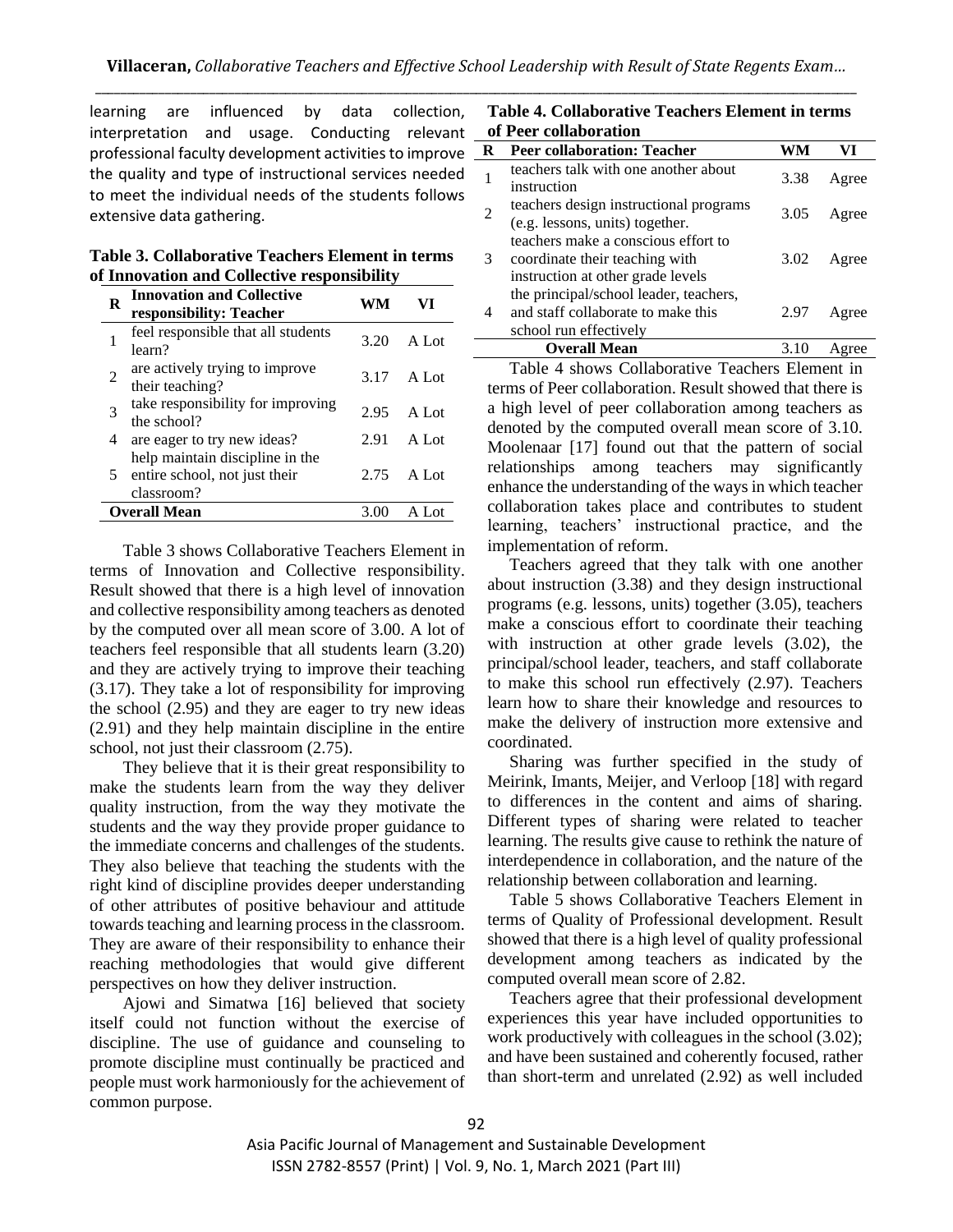learning are influenced by data collection, interpretation and usage. Conducting relevant professional faculty development activities to improve the quality and type of instructional services needed to meet the individual needs of the students follows extensive data gathering.

**Table 3. Collaborative Teachers Element in terms of Innovation and Collective responsibility**

| R | <b>Innovation and Collective</b><br>responsibility: Teacher                    | WМ   | VI      |
|---|--------------------------------------------------------------------------------|------|---------|
| 1 | feel responsible that all students<br>learn?                                   | 3.20 | $A$ Lot |
| 2 | are actively trying to improve<br>their teaching?                              | 3.17 | A Lot   |
| 3 | take responsibility for improving<br>the school?                               | 2.95 | $A$ Lot |
| 4 | are eager to try new ideas?                                                    | 2.91 | A Lot   |
| 5 | help maintain discipline in the<br>entire school, not just their<br>classroom? | 2.75 | A Lot   |
|   | <b>Overall Mean</b>                                                            | 3.00 | A Lot   |

Table 3 shows Collaborative Teachers Element in terms of Innovation and Collective responsibility. Result showed that there is a high level of innovation and collective responsibility among teachers as denoted by the computed over all mean score of 3.00. A lot of teachers feel responsible that all students learn (3.20) and they are actively trying to improve their teaching (3.17). They take a lot of responsibility for improving the school (2.95) and they are eager to try new ideas (2.91) and they help maintain discipline in the entire school, not just their classroom (2.75).

They believe that it is their great responsibility to make the students learn from the way they deliver quality instruction, from the way they motivate the students and the way they provide proper guidance to the immediate concerns and challenges of the students. They also believe that teaching the students with the right kind of discipline provides deeper understanding of other attributes of positive behaviour and attitude towards teaching and learning process in the classroom. They are aware of their responsibility to enhance their reaching methodologies that would give different perspectives on how they deliver instruction.

Ajowi and Simatwa [16] believed that society itself could not function without the exercise of discipline. The use of guidance and counseling to promote discipline must continually be practiced and people must work harmoniously for the achievement of common purpose.

| Table 4. Collaborative Teachers Element in terms |  |  |
|--------------------------------------------------|--|--|
| of Peer collaboration                            |  |  |

| R | <b>Peer collaboration: Teacher</b>                                                                         |      | VI    |
|---|------------------------------------------------------------------------------------------------------------|------|-------|
|   | teachers talk with one another about<br>instruction                                                        | 3.38 | Agree |
|   | teachers design instructional programs<br>(e.g. lessons, units) together.                                  | 3.05 | Agree |
| 3 | teachers make a conscious effort to<br>coordinate their teaching with<br>instruction at other grade levels | 3.02 | Agree |
|   | the principal/school leader, teachers,<br>and staff collaborate to make this<br>school run effectively     | 2.97 | Agree |
|   | <b>Overall Mean</b>                                                                                        |      |       |

Table 4 shows Collaborative Teachers Element in terms of Peer collaboration. Result showed that there is a high level of peer collaboration among teachers as denoted by the computed overall mean score of 3.10. Moolenaar [17] found out that the pattern of social relationships among teachers may significantly enhance the understanding of the ways in which teacher collaboration takes place and contributes to student learning, teachers' instructional practice, and the implementation of reform.

Teachers agreed that they talk with one another about instruction (3.38) and they design instructional programs (e.g. lessons, units) together (3.05), teachers make a conscious effort to coordinate their teaching with instruction at other grade levels (3.02), the principal/school leader, teachers, and staff collaborate to make this school run effectively (2.97). Teachers learn how to share their knowledge and resources to make the delivery of instruction more extensive and coordinated.

Sharing was further specified in the study of Meirink, Imants, Meijer, and Verloop [18] with regard to differences in the content and aims of sharing. Different types of sharing were related to teacher learning. The results give cause to rethink the nature of interdependence in collaboration, and the nature of the relationship between collaboration and learning.

Table 5 shows Collaborative Teachers Element in terms of Quality of Professional development. Result showed that there is a high level of quality professional development among teachers as indicated by the computed overall mean score of 2.82.

Teachers agree that their professional development experiences this year have included opportunities to work productively with colleagues in the school (3.02); and have been sustained and coherently focused, rather than short-term and unrelated (2.92) as well included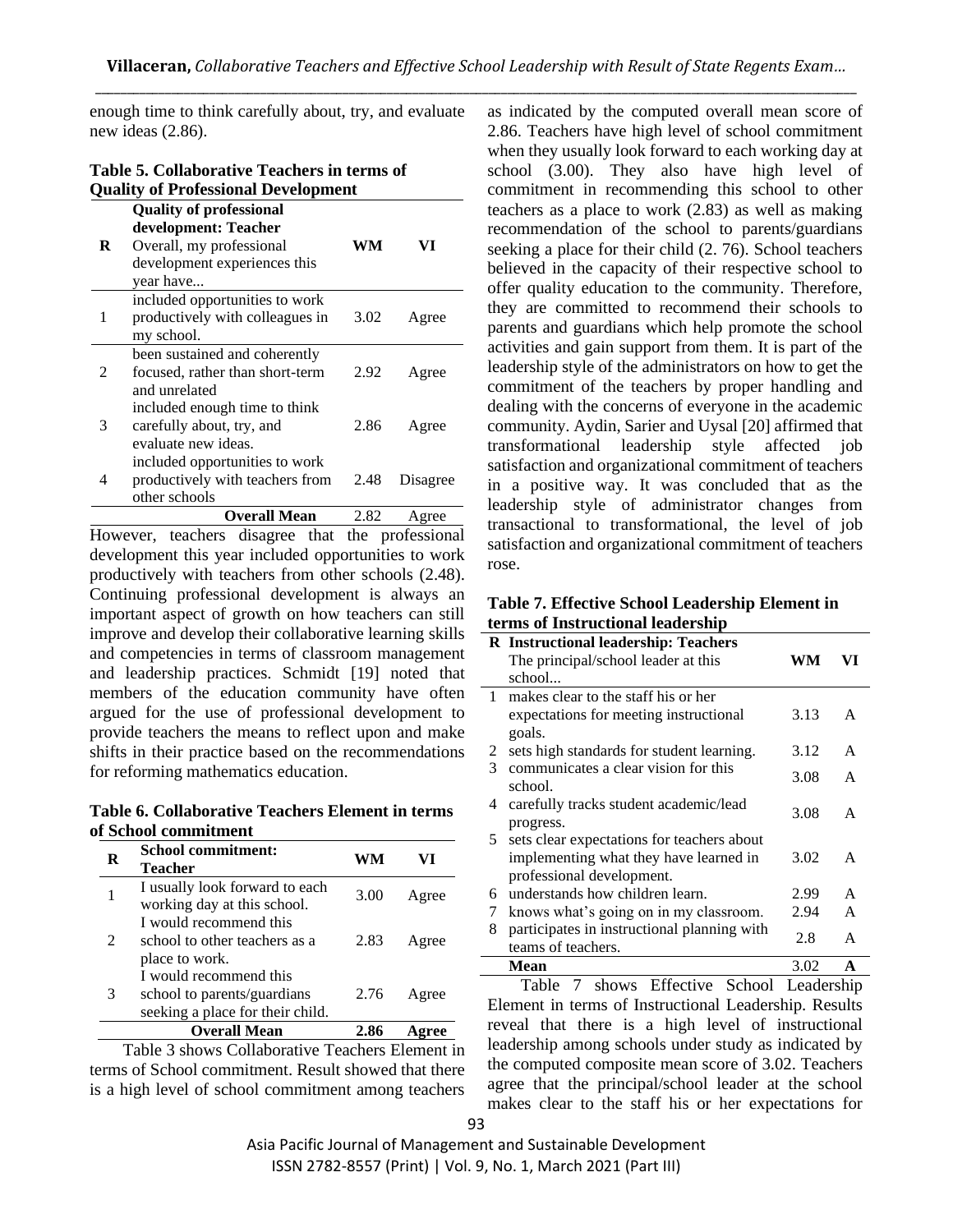enough time to think carefully about, try, and evaluate new ideas (2.86).

| Table 5. Collaborative Teachers in terms of |
|---------------------------------------------|
| <b>Quality of Professional Development</b>  |

| R              | <b>Quality of professional</b><br>development: Teacher<br>Overall, my professional<br>development experiences this<br>year have | WM   | VI       |
|----------------|---------------------------------------------------------------------------------------------------------------------------------|------|----------|
| 1              | included opportunities to work<br>productively with colleagues in<br>my school.                                                 | 3.02 | Agree    |
| $\mathfrak{D}$ | been sustained and coherently<br>focused, rather than short-term<br>and unrelated                                               | 2.92 | Agree    |
| 3              | included enough time to think<br>carefully about, try, and<br>evaluate new ideas.                                               | 2.86 | Agree    |
| 4              | included opportunities to work<br>productively with teachers from<br>other schools                                              | 2.48 | Disagree |
|                | <b>Overall Mean</b>                                                                                                             | 2.82 | Agree    |

However, teachers disagree that the professional development this year included opportunities to work productively with teachers from other schools (2.48). Continuing professional development is always an important aspect of growth on how teachers can still improve and develop their collaborative learning skills and competencies in terms of classroom management and leadership practices. Schmidt [19] noted that members of the education community have often argued for the use of professional development to provide teachers the means to reflect upon and make shifts in their practice based on the recommendations for reforming mathematics education.

**Table 6. Collaborative Teachers Element in terms of School commitment**

| R | <b>School commitment:</b><br>Teacher                                                      | WМ   |       |
|---|-------------------------------------------------------------------------------------------|------|-------|
|   | I usually look forward to each<br>working day at this school.                             | 3.00 | Agree |
|   | I would recommend this<br>school to other teachers as a<br>place to work.                 | 2.83 | Agree |
| 3 | I would recommend this<br>school to parents/guardians<br>seeking a place for their child. | 2.76 | Agree |
|   | <b>Overall Mean</b>                                                                       |      |       |

Table 3 shows Collaborative Teachers Element in terms of School commitment. Result showed that there is a high level of school commitment among teachers as indicated by the computed overall mean score of 2.86. Teachers have high level of school commitment when they usually look forward to each working day at school (3.00). They also have high level of commitment in recommending this school to other teachers as a place to work (2.83) as well as making recommendation of the school to parents/guardians seeking a place for their child (2. 76). School teachers believed in the capacity of their respective school to offer quality education to the community. Therefore, they are committed to recommend their schools to parents and guardians which help promote the school activities and gain support from them. It is part of the leadership style of the administrators on how to get the commitment of the teachers by proper handling and dealing with the concerns of everyone in the academic community. Aydin, Sarier and Uysal [20] affirmed that transformational leadership style affected job satisfaction and organizational commitment of teachers in a positive way. It was concluded that as the leadership style of administrator changes from transactional to transformational, the level of job satisfaction and organizational commitment of teachers rose.

**Table 7. Effective School Leadership Element in terms of Instructional leadership**

|              | <b>R</b> Instructional leadership: Teachers |      |    |
|--------------|---------------------------------------------|------|----|
|              | The principal/school leader at this         | WМ   | VI |
|              | school                                      |      |    |
| $\mathbf{1}$ | makes clear to the staff his or her         |      |    |
|              | expectations for meeting instructional      | 3.13 | A  |
|              | goals.                                      |      |    |
| 2            | sets high standards for student learning.   | 3.12 | A  |
| 3            | communicates a clear vision for this        |      |    |
|              | school.                                     | 3.08 | A  |
| 4            | carefully tracks student academic/lead      |      |    |
|              | progress.                                   | 3.08 | A  |
| 5.           | sets clear expectations for teachers about  |      |    |
|              | implementing what they have learned in      | 3.02 | A  |
|              | professional development.                   |      |    |
| 6            | understands how children learn.             | 2.99 | A  |
| 7            | knows what's going on in my classroom.      | 2.94 | A  |
| 8            | participates in instructional planning with |      |    |
|              | teams of teachers.                          | 2.8  | A  |
|              | Mean                                        | 3.02 | A  |

Table 7 shows Effective School Leadership Element in terms of Instructional Leadership. Results reveal that there is a high level of instructional leadership among schools under study as indicated by the computed composite mean score of 3.02. Teachers agree that the principal/school leader at the school makes clear to the staff his or her expectations for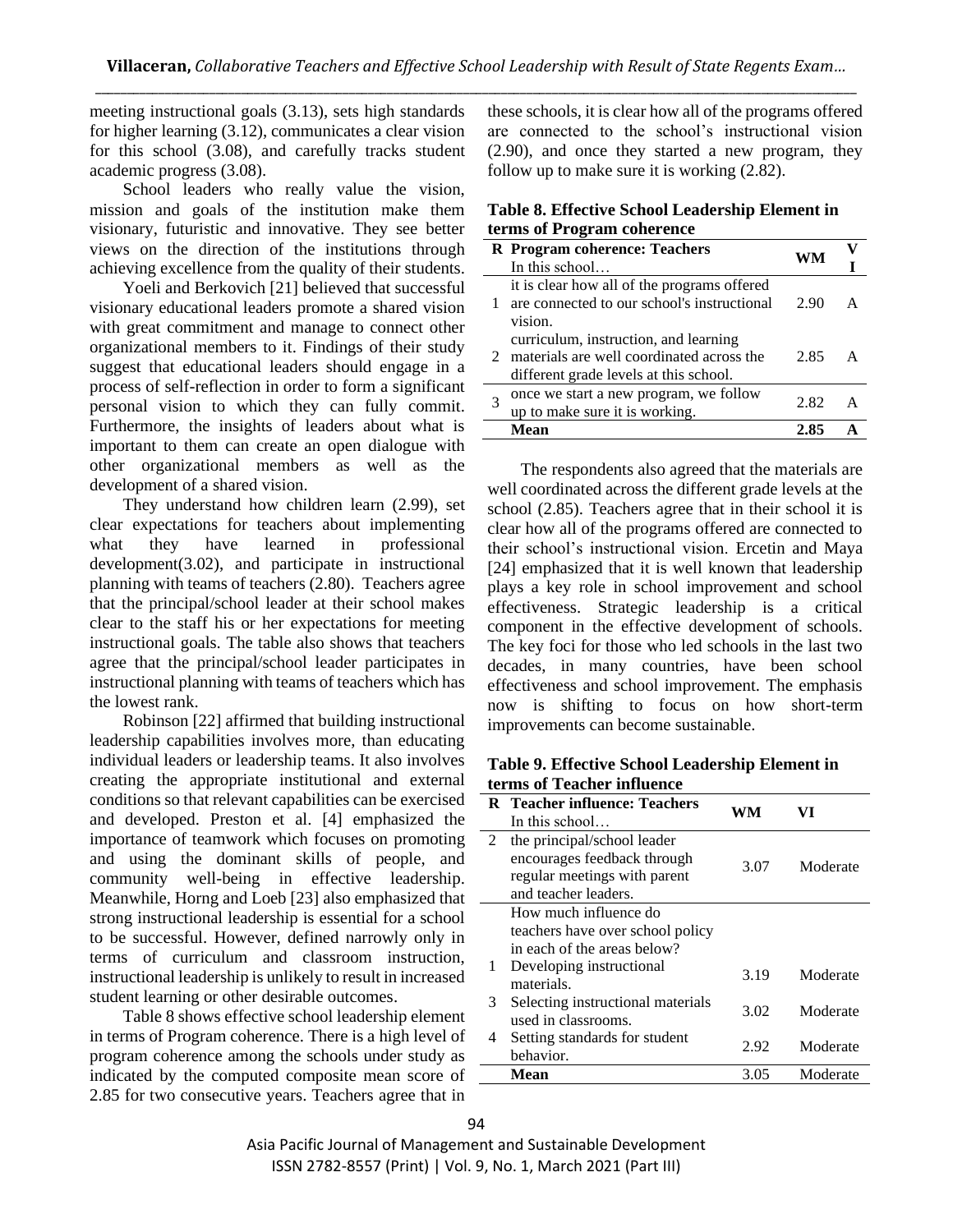meeting instructional goals (3.13), sets high standards for higher learning (3.12), communicates a clear vision for this school (3.08), and carefully tracks student academic progress (3.08).

School leaders who really value the vision, mission and goals of the institution make them visionary, futuristic and innovative. They see better views on the direction of the institutions through achieving excellence from the quality of their students.

Yoeli and Berkovich [21] believed that successful visionary educational leaders promote a shared vision with great commitment and manage to connect other organizational members to it. Findings of their study suggest that educational leaders should engage in a process of self-reflection in order to form a significant personal vision to which they can fully commit. Furthermore, the insights of leaders about what is important to them can create an open dialogue with other organizational members as well as the development of a shared vision.

They understand how children learn (2.99), set clear expectations for teachers about implementing what they have learned in professional development(3.02), and participate in instructional planning with teams of teachers (2.80). Teachers agree that the principal/school leader at their school makes clear to the staff his or her expectations for meeting instructional goals. The table also shows that teachers agree that the principal/school leader participates in instructional planning with teams of teachers which has the lowest rank.

Robinson [22] affirmed that building instructional leadership capabilities involves more, than educating individual leaders or leadership teams. It also involves creating the appropriate institutional and external conditions so that relevant capabilities can be exercised and developed. Preston et al. [4] emphasized the importance of teamwork which focuses on promoting and using the dominant skills of people, and community well-being in effective leadership. Meanwhile, Horng and Loeb [23] also emphasized that strong instructional leadership is essential for a school to be successful. However, defined narrowly only in terms of curriculum and classroom instruction, instructional leadership is unlikely to result in increased student learning or other desirable outcomes.

Table 8 shows effective school leadership element in terms of Program coherence. There is a high level of program coherence among the schools under study as indicated by the computed composite mean score of 2.85 for two consecutive years. Teachers agree that in

these schools, it is clear how all of the programs offered are connected to the school's instructional vision (2.90), and once they started a new program, they follow up to make sure it is working (2.82).

|                            | Table 8. Effective School Leadership Element in |  |
|----------------------------|-------------------------------------------------|--|
| terms of Program coherence |                                                 |  |

| WМ<br>In this school<br>it is clear how all of the programs offered<br>are connected to our school's instructional<br>2.90             |  |
|----------------------------------------------------------------------------------------------------------------------------------------|--|
|                                                                                                                                        |  |
| vision.                                                                                                                                |  |
| curriculum, instruction, and learning<br>2 materials are well coordinated across the<br>2.85<br>different grade levels at this school. |  |
| once we start a new program, we follow<br>2.82<br>up to make sure it is working.                                                       |  |
| Mean<br>2.85                                                                                                                           |  |

The respondents also agreed that the materials are well coordinated across the different grade levels at the school (2.85). Teachers agree that in their school it is clear how all of the programs offered are connected to their school's instructional vision. Ercetin and Maya [24] emphasized that it is well known that leadership plays a key role in school improvement and school effectiveness. Strategic leadership is a critical component in the effective development of schools. The key foci for those who led schools in the last two decades, in many countries, have been school effectiveness and school improvement. The emphasis now is shifting to focus on how short-term improvements can become sustainable.

**Table 9. Effective School Leadership Element in terms of Teacher influence**

|   | R Teacher influence: Teachers<br>In this school                                                                    | WM   | VI       |
|---|--------------------------------------------------------------------------------------------------------------------|------|----------|
| 2 | the principal/school leader<br>encourages feedback through<br>regular meetings with parent<br>and teacher leaders. | 3.07 | Moderate |
|   | How much influence do                                                                                              |      |          |
|   | teachers have over school policy                                                                                   |      |          |
|   | in each of the areas below?                                                                                        |      |          |
| 1 | Developing instructional<br>materials.                                                                             | 3.19 | Moderate |
| 3 | Selecting instructional materials<br>used in classrooms.                                                           | 3.02 | Moderate |
| 4 | Setting standards for student<br>behavior.                                                                         | 2.92 | Moderate |
|   | Mean                                                                                                               | 3.05 | Moderate |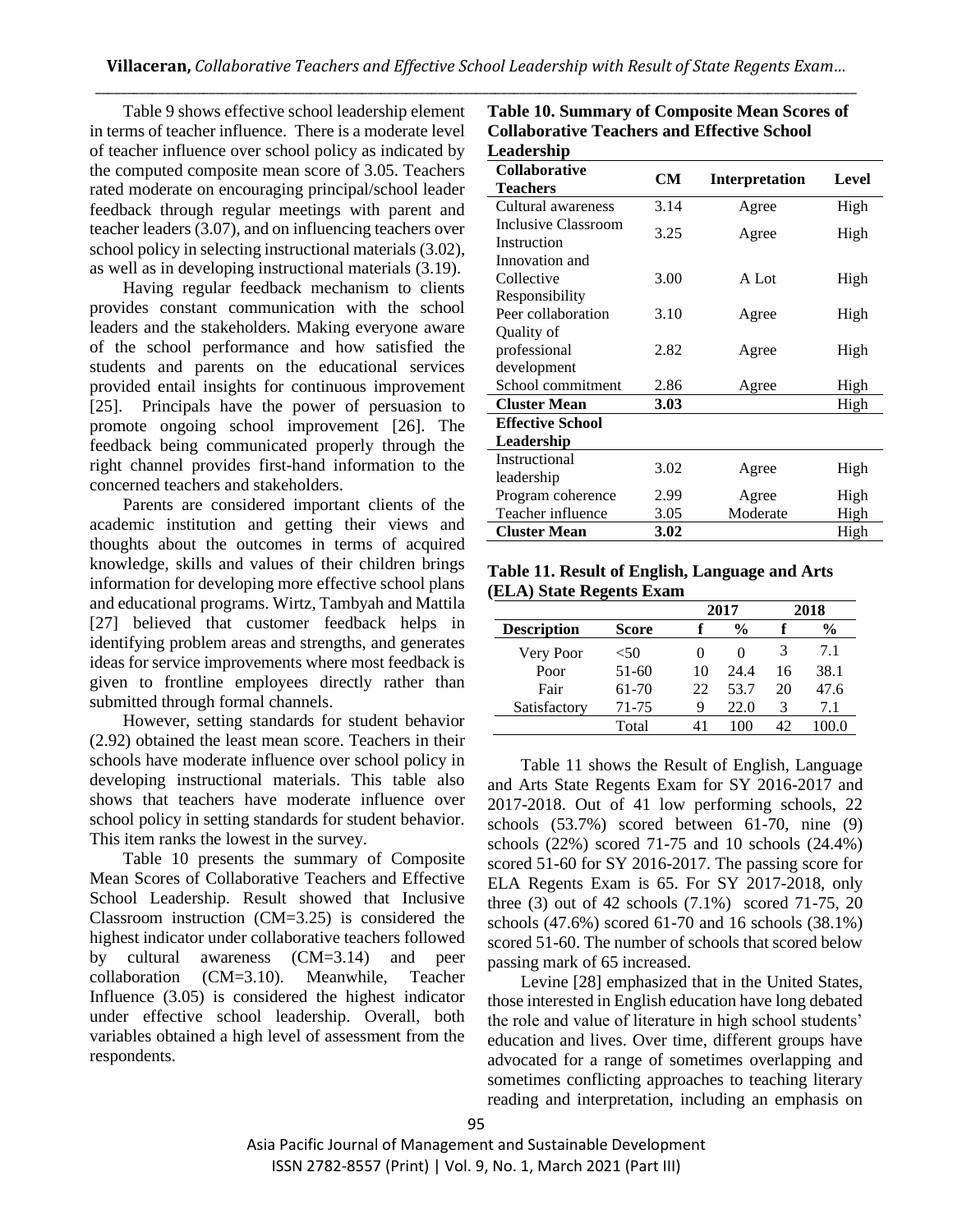Table 9 shows effective school leadership element in terms of teacher influence. There is a moderate level of teacher influence over school policy as indicated by the computed composite mean score of 3.05. Teachers rated moderate on encouraging principal/school leader feedback through regular meetings with parent and teacher leaders (3.07), and on influencing teachers over school policy in selecting instructional materials (3.02), as well as in developing instructional materials (3.19).

Having regular feedback mechanism to clients provides constant communication with the school leaders and the stakeholders. Making everyone aware of the school performance and how satisfied the students and parents on the educational services provided entail insights for continuous improvement [25]. Principals have the power of persuasion to promote ongoing school improvement [26]. The feedback being communicated properly through the right channel provides first-hand information to the concerned teachers and stakeholders.

Parents are considered important clients of the academic institution and getting their views and thoughts about the outcomes in terms of acquired knowledge, skills and values of their children brings information for developing more effective school plans and educational programs. Wirtz, Tambyah and Mattila [27] believed that customer feedback helps in identifying problem areas and strengths, and generates ideas for service improvements where most feedback is given to frontline employees directly rather than submitted through formal channels.

However, setting standards for student behavior (2.92) obtained the least mean score. Teachers in their schools have moderate influence over school policy in developing instructional materials. This table also shows that teachers have moderate influence over school policy in setting standards for student behavior. This item ranks the lowest in the survey.

Table 10 presents the summary of Composite Mean Scores of Collaborative Teachers and Effective School Leadership. Result showed that Inclusive Classroom instruction (CM=3.25) is considered the highest indicator under collaborative teachers followed by cultural awareness (CM=3.14) and peer collaboration (CM=3.10). Meanwhile, Teacher Influence (3.05) is considered the highest indicator under effective school leadership. Overall, both variables obtained a high level of assessment from the respondents.

| Leadership                                         |           |                |       |
|----------------------------------------------------|-----------|----------------|-------|
| <b>Collaborative</b><br><b>Teachers</b>            | <b>CM</b> | Interpretation | Level |
| Cultural awareness                                 | 3.14      | Agree          | High  |
| Inclusive Classroom<br>Instruction                 | 3.25      | Agree          | High  |
| Innovation and<br>Collective                       | 3.00      | A Lot          | High  |
| Responsibility<br>Peer collaboration<br>Quality of | 3.10      | Agree          | High  |
| professional<br>development                        | 2.82      | Agree          | High  |
| School commitment                                  | 2.86      | Agree          | High  |
| <b>Cluster Mean</b>                                | 3.03      |                | High  |
| <b>Effective School</b><br>Leadership              |           |                |       |
| Instructional<br>leadership                        | 3.02      | Agree          | High  |
| Program coherence                                  | 2.99      | Agree          | High  |
| Teacher influence                                  | 3.05      | Moderate       | High  |
| <b>Cluster Mean</b>                                | 3.02      |                | High  |

**Table 10. Summary of Composite Mean Scores of Collaborative Teachers and Effective School** 

**Table 11. Result of English, Language and Arts (ELA) State Regents Exam**

|                    |              |    | 2017          |    | 2018          |
|--------------------|--------------|----|---------------|----|---------------|
| <b>Description</b> | <b>Score</b> |    | $\frac{0}{0}$ |    | $\frac{0}{0}$ |
| Very Poor          | < 50         | 0  | $\theta$      | 3  | 7.1           |
| Poor               | $51-60$      | 10 | 24.4          | 16 | 38.1          |
| Fair               | $61 - 70$    | 22 | 53.7          | 20 | 47.6          |
| Satisfactory       | 71-75        | 9  | 22.0          | 3  | 7.1           |
|                    | Total        |    |               | 42 |               |

Table 11 shows the Result of English, Language and Arts State Regents Exam for SY 2016-2017 and 2017-2018. Out of 41 low performing schools, 22 schools (53.7%) scored between 61-70, nine (9) schools (22%) scored 71-75 and 10 schools (24.4%) scored 51-60 for SY 2016-2017. The passing score for ELA Regents Exam is 65. For SY 2017-2018, only three (3) out of 42 schools (7.1%) scored 71-75, 20 schools (47.6%) scored 61-70 and 16 schools (38.1%) scored 51-60. The number of schools that scored below passing mark of 65 increased.

Levine [28] emphasized that in the United States, those interested in English education have long debated the role and value of literature in high school students' education and lives. Over time, different groups have advocated for a range of sometimes overlapping and sometimes conflicting approaches to teaching literary reading and interpretation, including an emphasis on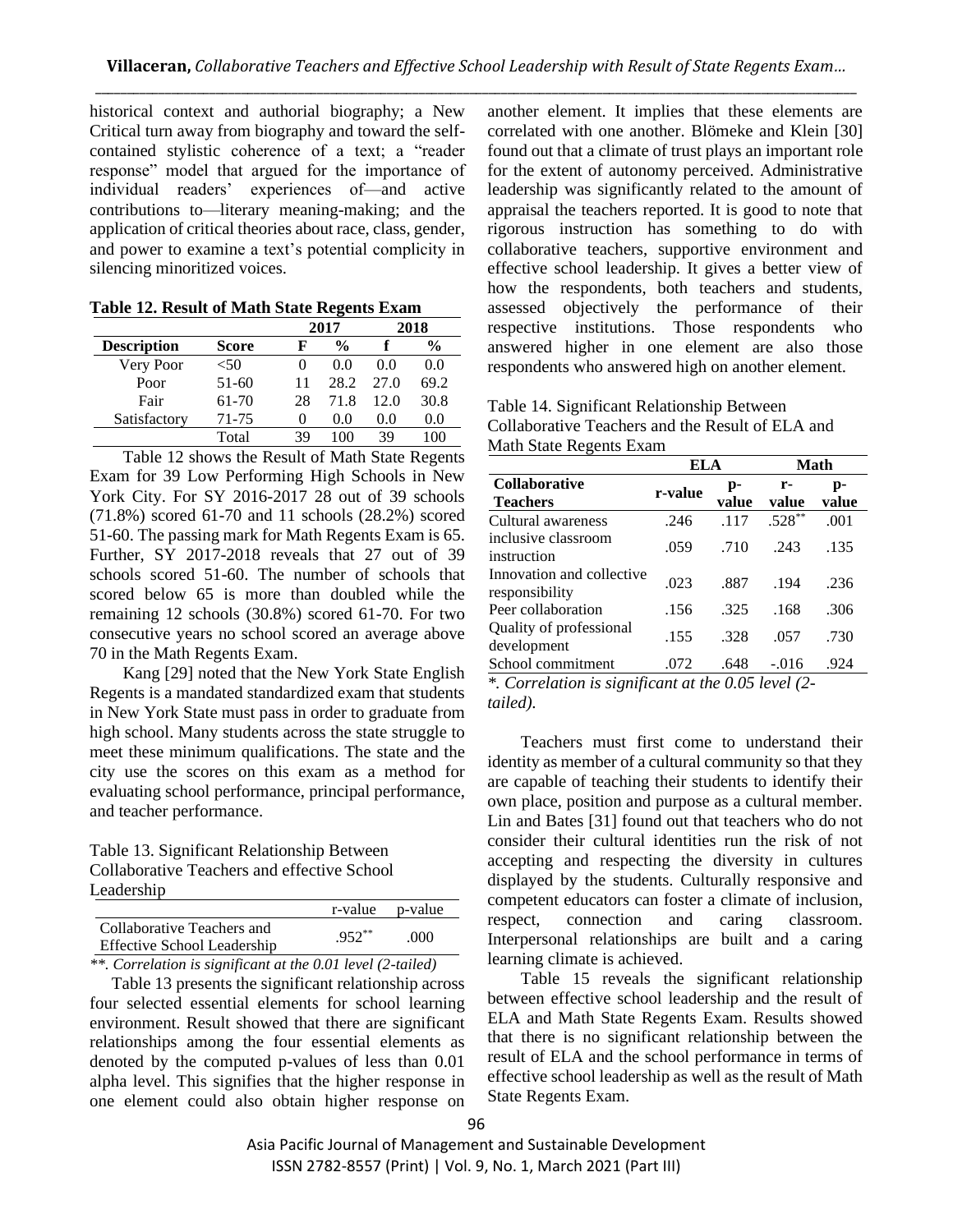historical context and authorial biography; a New Critical turn away from biography and toward the selfcontained stylistic coherence of a text; a "reader response" model that argued for the importance of individual readers' experiences of—and active contributions to—literary meaning-making; and the application of critical theories about race, class, gender, and power to examine a text's potential complicity in silencing minoritized voices.

| Table 12. Result of Math State Regents Exam |  |
|---------------------------------------------|--|
|---------------------------------------------|--|

|                    |         |          | 2017          |              | 2018          |
|--------------------|---------|----------|---------------|--------------|---------------|
| <b>Description</b> | Score   | F        | $\frac{0}{0}$ |              | $\frac{6}{9}$ |
| Very Poor          | < 50    | 0        | 00            | 00           | 0.0           |
| Poor               | $51-60$ | 11       | 28.2          | 27 O         | 69.2          |
| Fair               | 61-70   | 28       | 71.8          | 12. $\Omega$ | 30.8          |
| Satisfactory       | 71-75   | $\Omega$ | 0.0           | 0.0          | 0.0           |
|                    | Total   | 39       |               | 39           |               |

Table 12 shows the Result of Math State Regents Exam for 39 Low Performing High Schools in New York City. For SY 2016-2017 28 out of 39 schools (71.8%) scored 61-70 and 11 schools (28.2%) scored 51-60. The passing mark for Math Regents Exam is 65. Further, SY 2017-2018 reveals that 27 out of 39 schools scored 51-60. The number of schools that scored below 65 is more than doubled while the remaining 12 schools (30.8%) scored 61-70. For two consecutive years no school scored an average above 70 in the Math Regents Exam.

Kang [29] noted that the New York State English Regents is a mandated standardized exam that students in New York State must pass in order to graduate from high school. Many students across the state struggle to meet these minimum qualifications. The state and the city use the scores on this exam as a method for evaluating school performance, principal performance, and teacher performance.

Table 13. Significant Relationship Between Collaborative Teachers and effective School Leadership

|                                                                  |           | r-value p-value |
|------------------------------------------------------------------|-----------|-----------------|
| Collaborative Teachers and<br><b>Effective School Leadership</b> | $.952***$ | .000            |

*\*\*. Correlation is significant at the 0.01 level (2-tailed)*

Table 13 presents the significant relationship across four selected essential elements for school learning environment. Result showed that there are significant relationships among the four essential elements as denoted by the computed p-values of less than 0.01 alpha level. This signifies that the higher response in one element could also obtain higher response on another element. It implies that these elements are correlated with one another. Blömeke and Klein [30] found out that a climate of trust plays an important role for the extent of autonomy perceived. Administrative leadership was significantly related to the amount of appraisal the teachers reported. It is good to note that rigorous instruction has something to do with collaborative teachers, supportive environment and effective school leadership. It gives a better view of how the respondents, both teachers and students, assessed objectively the performance of their respective institutions. Those respondents who answered higher in one element are also those respondents who answered high on another element.

| Table 14. Significant Relationship Between       |
|--------------------------------------------------|
| Collaborative Teachers and the Result of ELA and |
| Math State Regents Exam                          |

|                                             | ELA     |             |             | Math        |
|---------------------------------------------|---------|-------------|-------------|-------------|
| <b>Collaborative</b><br><b>Teachers</b>     | r-value | p-<br>value | r-<br>value | p-<br>value |
| Cultural awareness                          | .246    | .117        | $.528**$    | .001        |
| inclusive classroom<br>instruction          | .059    | .710        | .243        | .135        |
| Innovation and collective<br>responsibility | .023    | .887        | .194        | .236        |
| Peer collaboration                          | .156    | .325        | .168        | .306        |
| Quality of professional<br>development      | .155    | .328        | .057        | .730        |
| School commitment                           | .072    | .648        | $-.016$     | .924        |

*\*. Correlation is significant at the 0.05 level (2 tailed).*

Teachers must first come to understand their identity as member of a cultural community so that they are capable of teaching their students to identify their own place, position and purpose as a cultural member. Lin and Bates [31] found out that teachers who do not consider their cultural identities run the risk of not accepting and respecting the diversity in cultures displayed by the students. Culturally responsive and competent educators can foster a climate of inclusion, respect, connection and caring classroom. Interpersonal relationships are built and a caring learning climate is achieved.

Table 15 reveals the significant relationship between effective school leadership and the result of ELA and Math State Regents Exam. Results showed that there is no significant relationship between the result of ELA and the school performance in terms of effective school leadership as well as the result of Math State Regents Exam.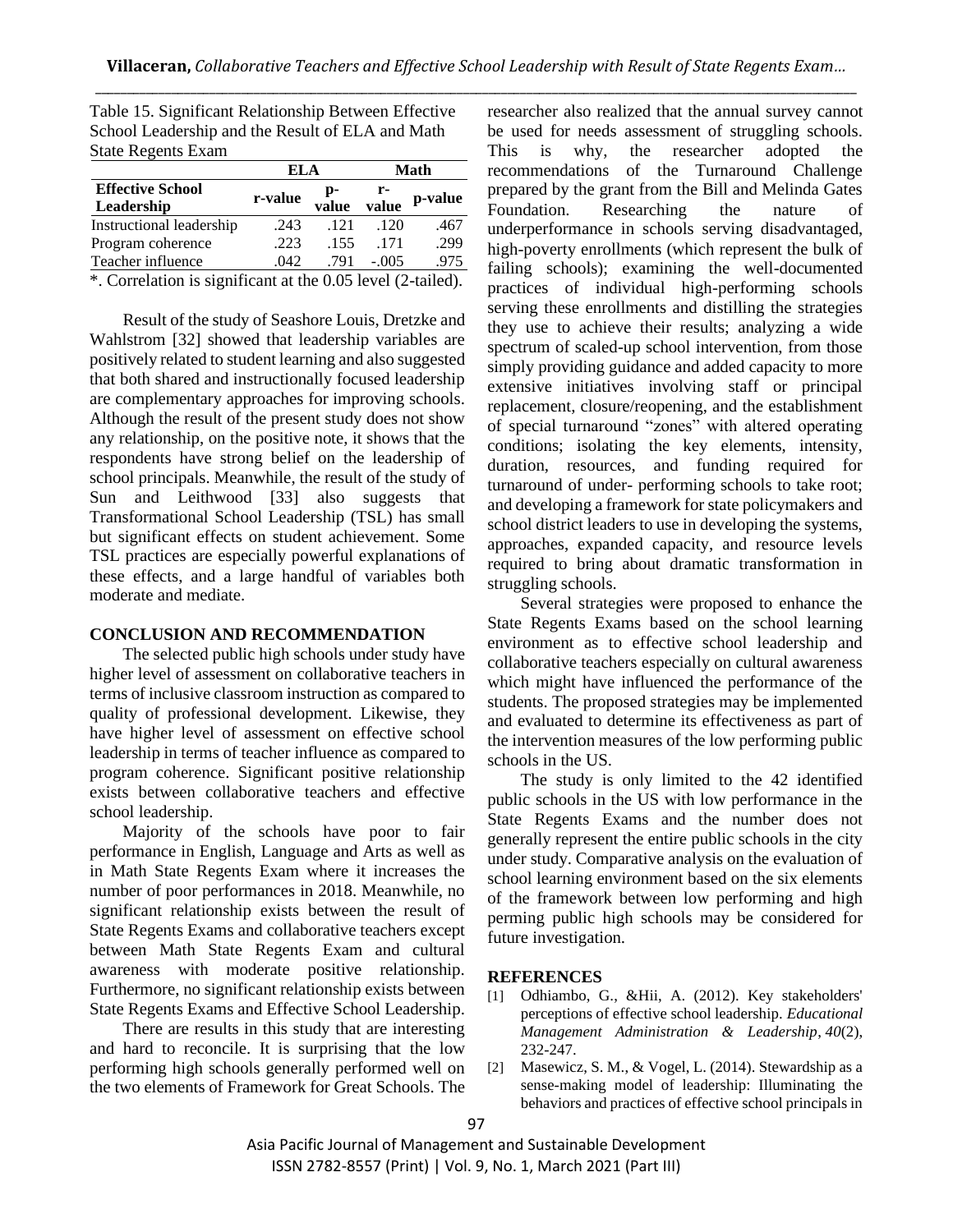|                                                                | ELA     |             |         | Math    |  |
|----------------------------------------------------------------|---------|-------------|---------|---------|--|
| <b>Effective School</b><br>Leadership                          | r-value | p-<br>value | value   | p-value |  |
| Instructional leadership                                       | .243    | .121        | .120    | .467    |  |
| Program coherence                                              | .223    | .155        | .171    | .299    |  |
| Teacher influence                                              | .042    | .791        | $-.005$ | .975    |  |
| $*$ Correlation is significant at the 0.05 level $(2$ -tailed) |         |             |         |         |  |

Table 15. Significant Relationship Between Effective School Leadership and the Result of ELA and Math State Regents Exam

. Correlation is significant at the 0.05 level (2-tailed).

Result of the study of Seashore Louis, Dretzke and Wahlstrom [32] showed that leadership variables are positively related to student learning and also suggested that both shared and instructionally focused leadership are complementary approaches for improving schools. Although the result of the present study does not show any relationship, on the positive note, it shows that the respondents have strong belief on the leadership of school principals. Meanwhile, the result of the study of Sun and Leithwood [33] also suggests that Transformational School Leadership (TSL) has small but significant effects on student achievement. Some TSL practices are especially powerful explanations of these effects, and a large handful of variables both moderate and mediate.

## **CONCLUSION AND RECOMMENDATION**

The selected public high schools under study have higher level of assessment on collaborative teachers in terms of inclusive classroom instruction as compared to quality of professional development. Likewise, they have higher level of assessment on effective school leadership in terms of teacher influence as compared to program coherence. Significant positive relationship exists between collaborative teachers and effective school leadership.

Majority of the schools have poor to fair performance in English, Language and Arts as well as in Math State Regents Exam where it increases the number of poor performances in 2018. Meanwhile, no significant relationship exists between the result of State Regents Exams and collaborative teachers except between Math State Regents Exam and cultural awareness with moderate positive relationship. Furthermore, no significant relationship exists between State Regents Exams and Effective School Leadership.

There are results in this study that are interesting and hard to reconcile. It is surprising that the low performing high schools generally performed well on the two elements of Framework for Great Schools. The researcher also realized that the annual survey cannot be used for needs assessment of struggling schools. This is why, the researcher adopted the recommendations of the Turnaround Challenge prepared by the grant from the Bill and Melinda Gates Foundation. Researching the nature of underperformance in schools serving disadvantaged, high-poverty enrollments (which represent the bulk of failing schools); examining the well-documented practices of individual high-performing schools serving these enrollments and distilling the strategies they use to achieve their results; analyzing a wide spectrum of scaled-up school intervention, from those simply providing guidance and added capacity to more extensive initiatives involving staff or principal replacement, closure/reopening, and the establishment of special turnaround "zones" with altered operating conditions; isolating the key elements, intensity, duration, resources, and funding required for turnaround of under- performing schools to take root; and developing a framework for state policymakers and school district leaders to use in developing the systems, approaches, expanded capacity, and resource levels required to bring about dramatic transformation in struggling schools.

Several strategies were proposed to enhance the State Regents Exams based on the school learning environment as to effective school leadership and collaborative teachers especially on cultural awareness which might have influenced the performance of the students. The proposed strategies may be implemented and evaluated to determine its effectiveness as part of the intervention measures of the low performing public schools in the US.

The study is only limited to the 42 identified public schools in the US with low performance in the State Regents Exams and the number does not generally represent the entire public schools in the city under study. Comparative analysis on the evaluation of school learning environment based on the six elements of the framework between low performing and high perming public high schools may be considered for future investigation.

#### **REFERENCES**

- [1] Odhiambo, G., &Hii, A. (2012). Key stakeholders' perceptions of effective school leadership. *Educational Management Administration & Leadership*, *40*(2), 232-247.
- [2] Masewicz, S. M., & Vogel, L. (2014). Stewardship as a sense-making model of leadership: Illuminating the behaviors and practices of effective school principals in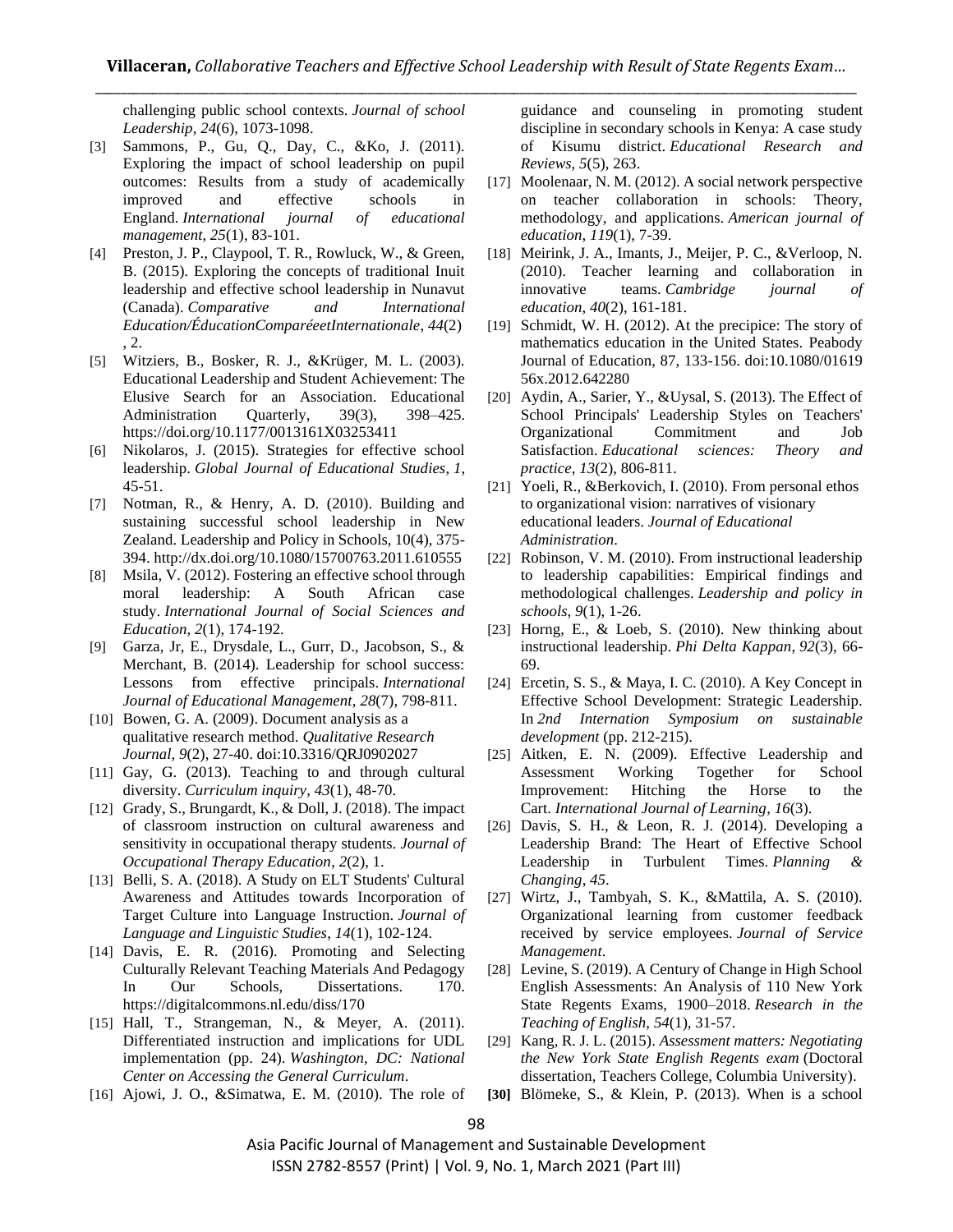challenging public school contexts. *Journal of school Leadership*, *24*(6), 1073-1098.

- [3] Sammons, P., Gu, Q., Day, C., &Ko, J. (2011). Exploring the impact of school leadership on pupil outcomes: Results from a study of academically improved and effective schools in England. *International journal of educational management*, *25*(1), 83-101.
- [4] Preston, J. P., Claypool, T. R., Rowluck, W., & Green, B. (2015). Exploring the concepts of traditional Inuit leadership and effective school leadership in Nunavut (Canada). *Comparative and International Education/ÉducationComparéeetInternationale*, *44*(2) , 2.
- [5] Witziers, B., Bosker, R. J., &Krüger, M. L. (2003). Educational Leadership and Student Achievement: The Elusive Search for an Association. Educational Administration Quarterly, 39(3), 398-425. https://doi.org/10.1177/0013161X03253411
- [6] Nikolaros, J. (2015). Strategies for effective school leadership. *Global Journal of Educational Studies*, *1*, 45-51.
- [7] Notman, R., & Henry, A. D. (2010). Building and sustaining successful school leadership in New Zealand. Leadership and Policy in Schools, 10(4), 375- 394. http://dx.doi.org/10.1080/15700763.2011.610555
- [8] Msila, V. (2012). Fostering an effective school through moral leadership: A South African case study. *International Journal of Social Sciences and Education*, *2*(1), 174-192.
- [9] Garza, Jr, E., Drysdale, L., Gurr, D., Jacobson, S., & Merchant, B. (2014). Leadership for school success: Lessons from effective principals. *International Journal of Educational Management*, *28*(7), 798-811.
- [10] Bowen, G. A. (2009). Document analysis as a qualitative research method. *Qualitative Research Journal, 9*(2), 27-40. doi:10.3316/QRJ0902027
- [11] Gay, G. (2013). Teaching to and through cultural diversity. *Curriculum inquiry*, *43*(1), 48-70.
- [12] Grady, S., Brungardt, K., & Doll, J. (2018). The impact of classroom instruction on cultural awareness and sensitivity in occupational therapy students. *Journal of Occupational Therapy Education*, *2*(2), 1.
- [13] Belli, S. A. (2018). A Study on ELT Students' Cultural Awareness and Attitudes towards Incorporation of Target Culture into Language Instruction. *Journal of Language and Linguistic Studies*, *14*(1), 102-124.
- [14] Davis, E. R. (2016). Promoting and Selecting Culturally Relevant Teaching Materials And Pedagogy In Our Schools, Dissertations. 170. https://digitalcommons.nl.edu/diss/170
- [15] Hall, T., Strangeman, N., & Meyer, A. (2011). Differentiated instruction and implications for UDL implementation (pp. 24). *Washington, DC: National Center on Accessing the General Curriculum*.
- [16] Ajowi, J. O., &Simatwa, E. M. (2010). The role of

guidance and counseling in promoting student discipline in secondary schools in Kenya: A case study of Kisumu district. *Educational Research and Reviews*, *5*(5), 263.

- [17] Moolenaar, N. M. (2012). A social network perspective on teacher collaboration in schools: Theory, methodology, and applications. *American journal of education*, *119*(1), 7-39.
- [18] Meirink, J. A., Imants, J., Meijer, P. C., &Verloop, N. (2010). Teacher learning and collaboration in innovative teams. *Cambridge journal of education*, *40*(2), 161-181.
- [19] Schmidt, W. H. (2012). At the precipice: The story of mathematics education in the United States. Peabody Journal of Education, 87, 133-156. doi:10.1080/01619 56x.2012.642280
- [20] Aydin, A., Sarier, Y., &Uysal, S. (2013). The Effect of School Principals' Leadership Styles on Teachers' Organizational Commitment and Job Satisfaction. *Educational sciences: Theory and practice*, *13*(2), 806-811.
- [21] Yoeli, R., &Berkovich, I. (2010). From personal ethos to organizational vision: narratives of visionary educational leaders. *Journal of Educational Administration*.
- [22] Robinson, V. M. (2010). From instructional leadership to leadership capabilities: Empirical findings and methodological challenges. *Leadership and policy in schools*, *9*(1), 1-26.
- [23] Horng, E., & Loeb, S. (2010). New thinking about instructional leadership. *Phi Delta Kappan*, *92*(3), 66- 69.
- [24] Ercetin, S. S., & Maya, I. C. (2010). A Key Concept in Effective School Development: Strategic Leadership. In *2nd Internation Symposium on sustainable development* (pp. 212-215).
- [25] Aitken, E. N. (2009). Effective Leadership and Assessment Working Together for School Improvement: Hitching the Horse to the Cart. *International Journal of Learning*, *16*(3).
- [26] Davis, S. H., & Leon, R. J. (2014). Developing a Leadership Brand: The Heart of Effective School Leadership in Turbulent Times. *Planning & Changing*, *45*.
- [27] Wirtz, J., Tambyah, S. K., &Mattila, A. S. (2010). Organizational learning from customer feedback received by service employees. *Journal of Service Management*.
- [28] Levine, S. (2019). A Century of Change in High School English Assessments: An Analysis of 110 New York State Regents Exams, 1900–2018. *Research in the Teaching of English*, *54*(1), 31-57.
- [29] Kang, R. J. L. (2015). *Assessment matters: Negotiating the New York State English Regents exam* (Doctoral dissertation, Teachers College, Columbia University).
- **[30]** Blömeke, S., & Klein, P. (2013). When is a school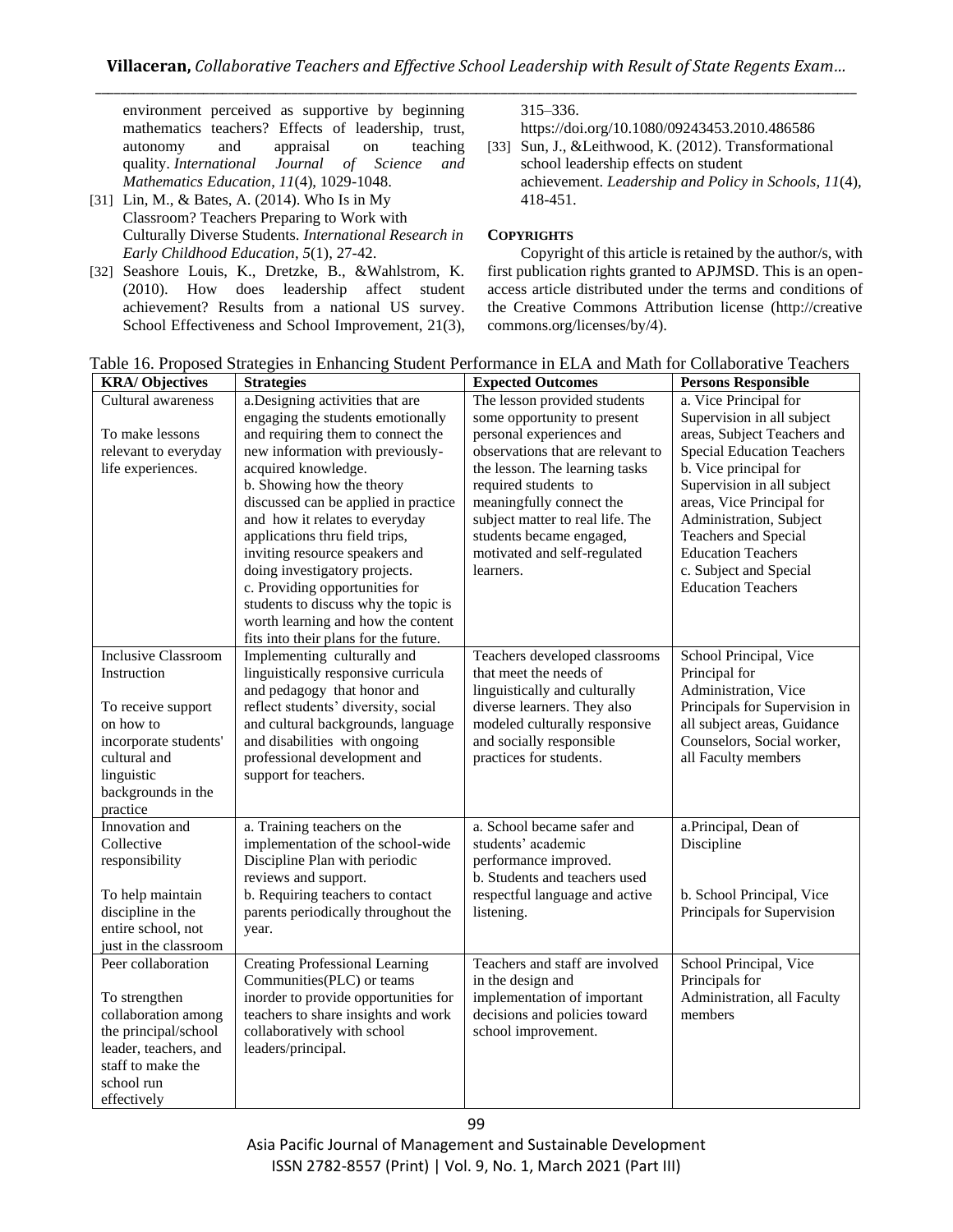environment perceived as supportive by beginning mathematics teachers? Effects of leadership, trust, autonomy and appraisal on teaching quality. *International Journal of Science and Mathematics Education*, *11*(4), 1029-1048.

- [31] Lin, M., & Bates, A. (2014). Who Is in My Classroom? Teachers Preparing to Work with Culturally Diverse Students. *International Research in Early Childhood Education*, *5*(1), 27-42.
- [32] Seashore Louis, K., Dretzke, B., &Wahlstrom, K. (2010). How does leadership affect student achievement? Results from a national US survey. School Effectiveness and School Improvement, 21(3),

315–336.

https://doi.org/10.1080/09243453.2010.486586

[33] Sun, J., &Leithwood, K. (2012). Transformational school leadership effects on student achievement. *Leadership and Policy in Schools*, *11*(4), 418-451.

## **COPYRIGHTS**

Copyright of this article is retained by the author/s, with first publication rights granted to APJMSD. This is an openaccess article distributed under the terms and conditions of the Creative Commons Attribution license (http://creative commons.org/licenses/by/4).

| <b>KRA/Objectives</b>                                                                                                                                         | <b>Strategies</b>                                                                                                                                                                                                                                                                                                                                                                                                                                             | <b>Expected Outcomes</b>                                                                                                                                                                                                                                                                        | <b>Persons Responsible</b>                                                                                                                                                                                                                                                                                                       |
|---------------------------------------------------------------------------------------------------------------------------------------------------------------|---------------------------------------------------------------------------------------------------------------------------------------------------------------------------------------------------------------------------------------------------------------------------------------------------------------------------------------------------------------------------------------------------------------------------------------------------------------|-------------------------------------------------------------------------------------------------------------------------------------------------------------------------------------------------------------------------------------------------------------------------------------------------|----------------------------------------------------------------------------------------------------------------------------------------------------------------------------------------------------------------------------------------------------------------------------------------------------------------------------------|
| Cultural awareness                                                                                                                                            | a.Designing activities that are                                                                                                                                                                                                                                                                                                                                                                                                                               | The lesson provided students                                                                                                                                                                                                                                                                    | a. Vice Principal for                                                                                                                                                                                                                                                                                                            |
| To make lessons<br>relevant to everyday<br>life experiences.                                                                                                  | engaging the students emotionally<br>and requiring them to connect the<br>new information with previously-<br>acquired knowledge.<br>b. Showing how the theory<br>discussed can be applied in practice<br>and how it relates to everyday<br>applications thru field trips,<br>inviting resource speakers and<br>doing investigatory projects.<br>c. Providing opportunities for<br>students to discuss why the topic is<br>worth learning and how the content | some opportunity to present<br>personal experiences and<br>observations that are relevant to<br>the lesson. The learning tasks<br>required students to<br>meaningfully connect the<br>subject matter to real life. The<br>students became engaged,<br>motivated and self-regulated<br>learners. | Supervision in all subject<br>areas, Subject Teachers and<br><b>Special Education Teachers</b><br>b. Vice principal for<br>Supervision in all subject<br>areas, Vice Principal for<br>Administration, Subject<br><b>Teachers and Special</b><br><b>Education Teachers</b><br>c. Subject and Special<br><b>Education Teachers</b> |
| <b>Inclusive Classroom</b>                                                                                                                                    | fits into their plans for the future.                                                                                                                                                                                                                                                                                                                                                                                                                         |                                                                                                                                                                                                                                                                                                 |                                                                                                                                                                                                                                                                                                                                  |
| Instruction<br>To receive support<br>on how to<br>incorporate students'<br>cultural and<br>linguistic<br>backgrounds in the<br>practice                       | Implementing culturally and<br>linguistically responsive curricula<br>and pedagogy that honor and<br>reflect students' diversity, social<br>and cultural backgrounds, language<br>and disabilities with ongoing<br>professional development and<br>support for teachers.                                                                                                                                                                                      | Teachers developed classrooms<br>that meet the needs of<br>linguistically and culturally<br>diverse learners. They also<br>modeled culturally responsive<br>and socially responsible<br>practices for students.                                                                                 | School Principal, Vice<br>Principal for<br>Administration, Vice<br>Principals for Supervision in<br>all subject areas, Guidance<br>Counselors, Social worker,<br>all Faculty members                                                                                                                                             |
| Innovation and<br>Collective<br>responsibility<br>To help maintain<br>discipline in the<br>entire school, not<br>just in the classroom                        | a. Training teachers on the<br>implementation of the school-wide<br>Discipline Plan with periodic<br>reviews and support.<br>b. Requiring teachers to contact<br>parents periodically throughout the<br>year.                                                                                                                                                                                                                                                 | a. School became safer and<br>students' academic<br>performance improved.<br>b. Students and teachers used<br>respectful language and active<br>listening.                                                                                                                                      | a.Principal, Dean of<br>Discipline<br>b. School Principal, Vice<br>Principals for Supervision                                                                                                                                                                                                                                    |
| Peer collaboration<br>To strengthen<br>collaboration among<br>the principal/school<br>leader, teachers, and<br>staff to make the<br>school run<br>effectively | <b>Creating Professional Learning</b><br>Communities(PLC) or teams<br>inorder to provide opportunities for<br>teachers to share insights and work<br>collaboratively with school<br>leaders/principal.                                                                                                                                                                                                                                                        | Teachers and staff are involved<br>in the design and<br>implementation of important<br>decisions and policies toward<br>school improvement.                                                                                                                                                     | School Principal, Vice<br>Principals for<br>Administration, all Faculty<br>members                                                                                                                                                                                                                                               |

Table 16. Proposed Strategies in Enhancing Student Performance in ELA and Math for Collaborative Teachers